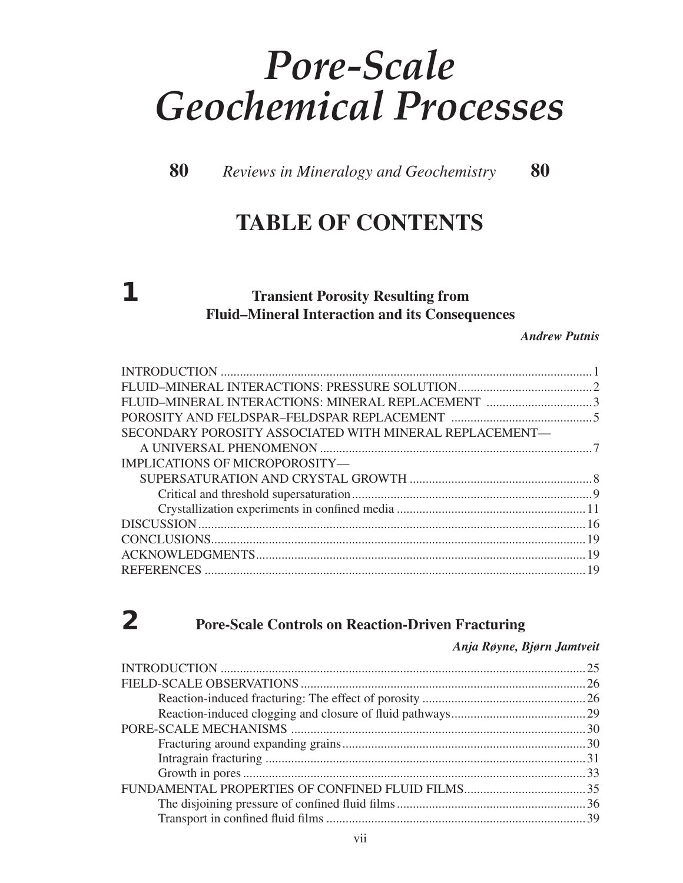# *Pore-Scale Geochemical Processes*

 **80** *Reviews in Mineralogy and Geochemistry* **80** 

# **TABLE OF CONTENTS**

# **1 Transient Porosity Resulting from Fluid–Mineral Interaction and its Consequences**

*Andrew Putnis*

| SECONDARY POROSITY ASSOCIATED WITH MINERAL REPLACEMENT— |  |
|---------------------------------------------------------|--|
|                                                         |  |
| IMPLICATIONS OF MICROPOROSITY-                          |  |
|                                                         |  |
|                                                         |  |
|                                                         |  |
|                                                         |  |
|                                                         |  |
|                                                         |  |
|                                                         |  |
|                                                         |  |

# **2 Pore-Scale Controls on Reaction-Driven Fracturing**

#### *Anja Røyne, Bjørn Jamtveit*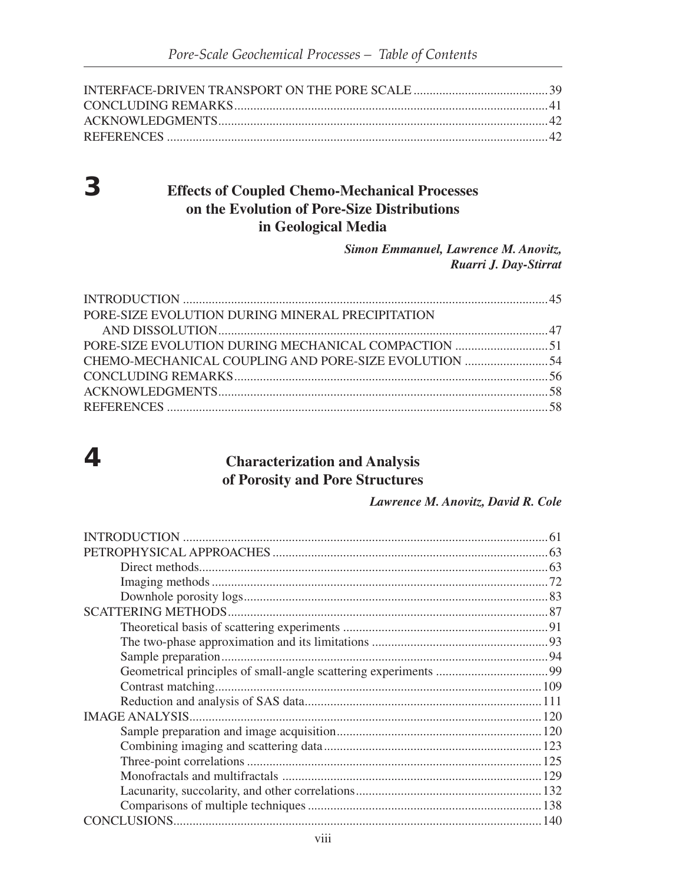### **Effects of Coupled Chemo-Mechanical Processes** on the Evolution of Pore-Size Distributions in Geological Media

Simon Emmanuel, Lawrence M. Anovitz, Ruarri J. Day-Stirrat

| PORE-SIZE EVOLUTION DURING MINERAL PRECIPITATION |  |
|--------------------------------------------------|--|
|                                                  |  |
|                                                  |  |
|                                                  |  |
|                                                  |  |
|                                                  |  |
|                                                  |  |

# $\overline{4}$

 $3<sup>1</sup>$ 

### **Characterization and Analysis** of Porosity and Pore Structures

Lawrence M. Anovitz, David R. Cole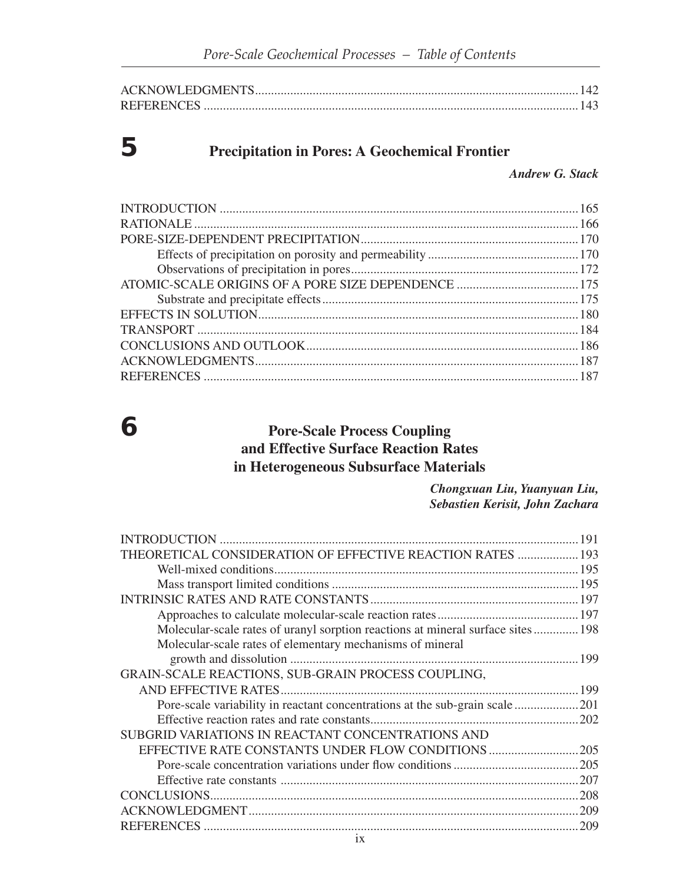# **5 Precipitation in Pores: A Geochemical Frontier**

*Andrew G. Stack*

## **6 Pore-Scale Process Coupling and Effective Surface Reaction Rates in Heterogeneous Subsurface Materials**

*Chongxuan Liu, Yuanyuan Liu, Sebastien Kerisit, John Zachara*

|                                                                                 | 191 |
|---------------------------------------------------------------------------------|-----|
| THEORETICAL CONSIDERATION OF EFFECTIVE REACTION RATES  193                      |     |
|                                                                                 |     |
|                                                                                 |     |
|                                                                                 |     |
|                                                                                 |     |
| Molecular-scale rates of uranyl sorption reactions at mineral surface sites 198 |     |
| Molecular-scale rates of elementary mechanisms of mineral                       |     |
|                                                                                 |     |
| GRAIN-SCALE REACTIONS, SUB-GRAIN PROCESS COUPLING,                              |     |
|                                                                                 |     |
| Pore-scale variability in reactant concentrations at the sub-grain scale        | 201 |
|                                                                                 | 202 |
| SUBGRID VARIATIONS IN REACTANT CONCENTRATIONS AND                               |     |
| EFFECTIVE RATE CONSTANTS UNDER FLOW CONDITIONS                                  | 205 |
|                                                                                 |     |
|                                                                                 | 207 |
|                                                                                 | 208 |
|                                                                                 | 209 |
|                                                                                 | 209 |
|                                                                                 |     |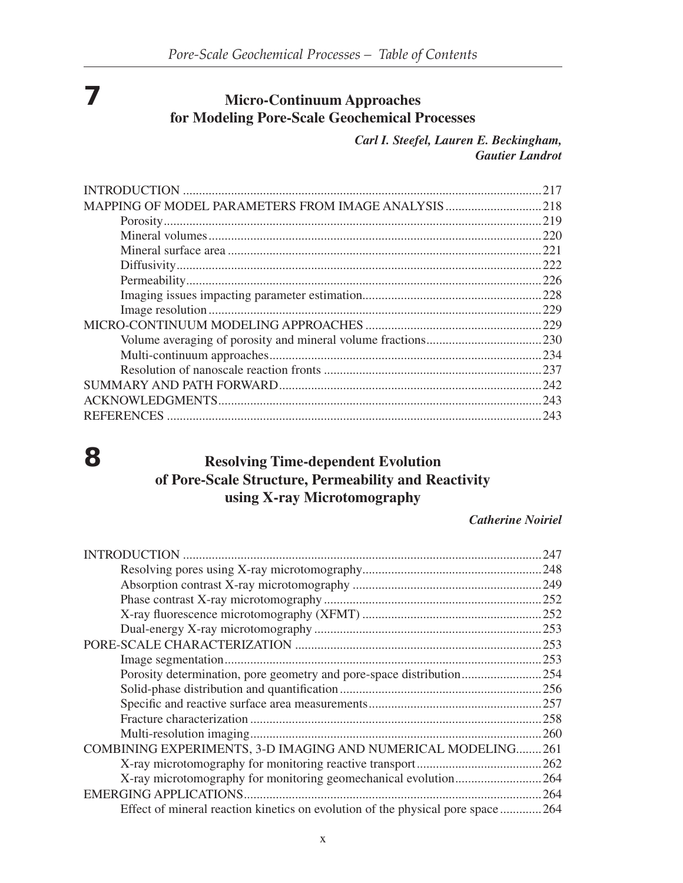# **7 Micro-Continuum Approaches for Modeling Pore-Scale Geochemical Processes**

*Carl I. Steefel, Lauren E. Beckingham, Gautier Landrot*

## **8 Resolving Time-dependent Evolution of Pore-Scale Structure, Permeability and Reactivity using X-ray Microtomography**

#### *Catherine Noiriel*

| INTRODUCTION                                                                   | 247  |
|--------------------------------------------------------------------------------|------|
|                                                                                | 248  |
|                                                                                | 249  |
|                                                                                | .252 |
|                                                                                | .252 |
|                                                                                |      |
|                                                                                | 253  |
|                                                                                | 253  |
|                                                                                | .254 |
|                                                                                |      |
|                                                                                | 257  |
|                                                                                | 258  |
|                                                                                | 260  |
| COMBINING EXPERIMENTS, 3-D IMAGING AND NUMERICAL MODELING.                     | 261  |
|                                                                                | 262  |
| X-ray microtomography for monitoring geomechanical evolution                   | 264  |
| <b>EMERGING APPLICATIONS.</b>                                                  | 264  |
| Effect of mineral reaction kinetics on evolution of the physical pore space264 |      |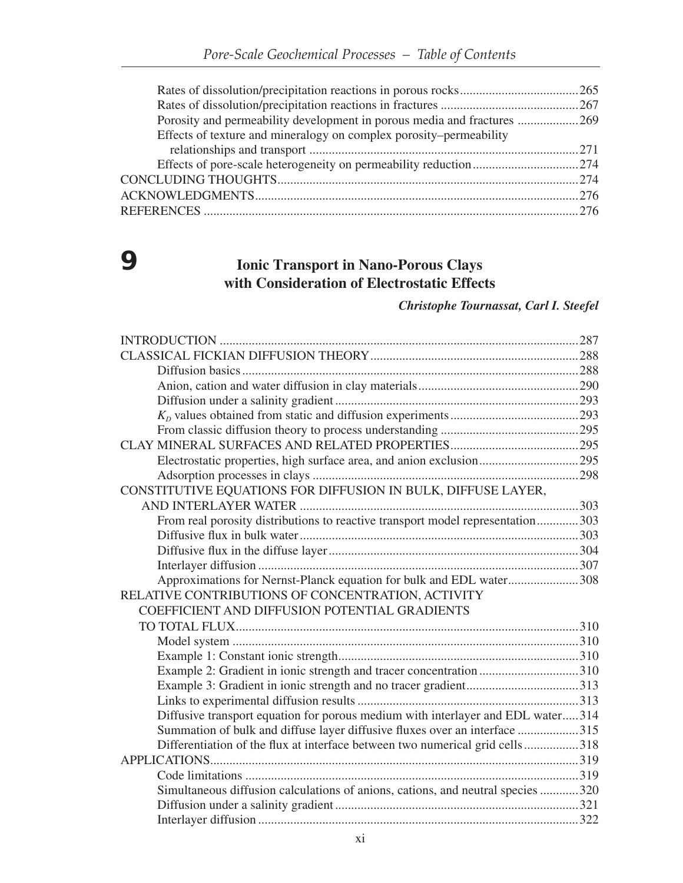| Porosity and permeability development in porous media and fractures 269 |  |
|-------------------------------------------------------------------------|--|
| Effects of texture and mineralogy on complex porosity-permeability      |  |
|                                                                         |  |
|                                                                         |  |
|                                                                         |  |
|                                                                         |  |
|                                                                         |  |
|                                                                         |  |

# **9 Ionic Transport in Nano-Porous Clays with Consideration of Electrostatic Effects**

#### *Christophe Tournassat, Carl I. Steefel*

| Electrostatic properties, high surface area, and anion exclusion295             |  |
|---------------------------------------------------------------------------------|--|
|                                                                                 |  |
| CONSTITUTIVE EQUATIONS FOR DIFFUSION IN BULK, DIFFUSE LAYER,                    |  |
|                                                                                 |  |
| From real porosity distributions to reactive transport model representation303  |  |
|                                                                                 |  |
|                                                                                 |  |
|                                                                                 |  |
| Approximations for Nernst-Planck equation for bulk and EDL water308             |  |
| RELATIVE CONTRIBUTIONS OF CONCENTRATION, ACTIVITY                               |  |
| COEFFICIENT AND DIFFUSION POTENTIAL GRADIENTS                                   |  |
|                                                                                 |  |
|                                                                                 |  |
|                                                                                 |  |
| Example 2: Gradient in ionic strength and tracer concentration310               |  |
|                                                                                 |  |
|                                                                                 |  |
| Diffusive transport equation for porous medium with interlayer and EDL water314 |  |
| Summation of bulk and diffuse layer diffusive fluxes over an interface 315      |  |
| Differentiation of the flux at interface between two numerical grid cells318    |  |
|                                                                                 |  |
|                                                                                 |  |
| Simultaneous diffusion calculations of anions, cations, and neutral species 320 |  |
|                                                                                 |  |
|                                                                                 |  |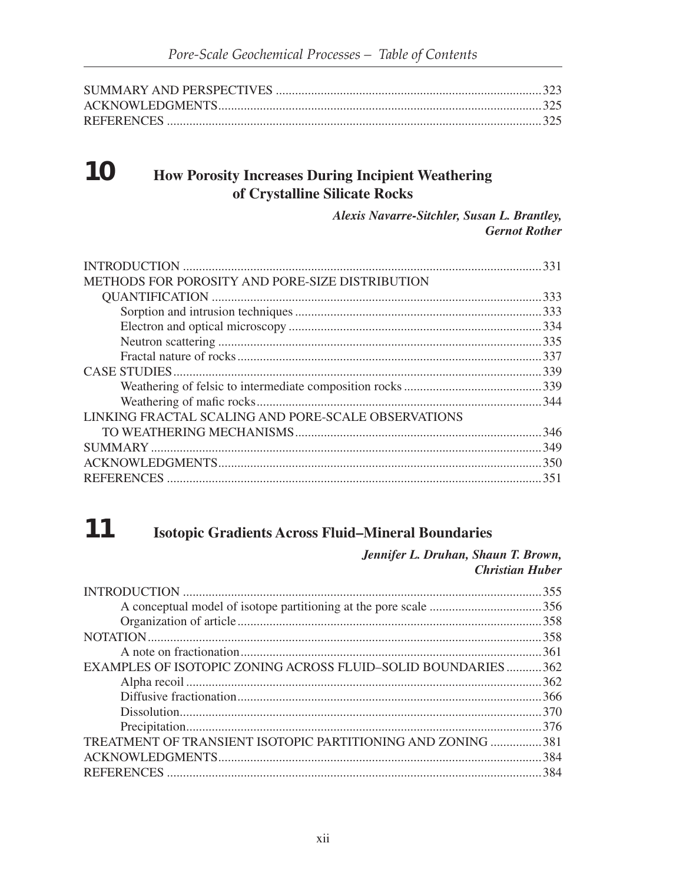#### 10 **How Porosity Increases During Incipient Weathering** of Crystalline Silicate Rocks

Alexis Navarre-Sitchler, Susan L. Brantley, **Gernot Rother** 

|                                                     | 331  |
|-----------------------------------------------------|------|
| METHODS FOR POROSITY AND PORE-SIZE DISTRIBUTION     |      |
|                                                     | 333  |
|                                                     |      |
|                                                     |      |
|                                                     |      |
|                                                     | .337 |
|                                                     |      |
|                                                     |      |
|                                                     |      |
| LINKING FRACTAL SCALING AND PORE-SCALE OBSERVATIONS |      |
|                                                     | 346  |
|                                                     | 349  |
|                                                     | .350 |
|                                                     | 351  |

#### 11 **Isotopic Gradients Across Fluid-Mineral Boundaries**

Jennifer L. Druhan, Shaun T. Brown, **Christian Huber** 

| 355                                                          |
|--------------------------------------------------------------|
|                                                              |
| .358                                                         |
| .358                                                         |
| 361                                                          |
| EXAMPLES OF ISOTOPIC ZONING ACROSS FLUID-SOLID BOUNDARIES362 |
|                                                              |
| .366                                                         |
| .370                                                         |
| 376                                                          |
| TREATMENT OF TRANSIENT ISOTOPIC PARTITIONING AND ZONING 381  |
| .384                                                         |
|                                                              |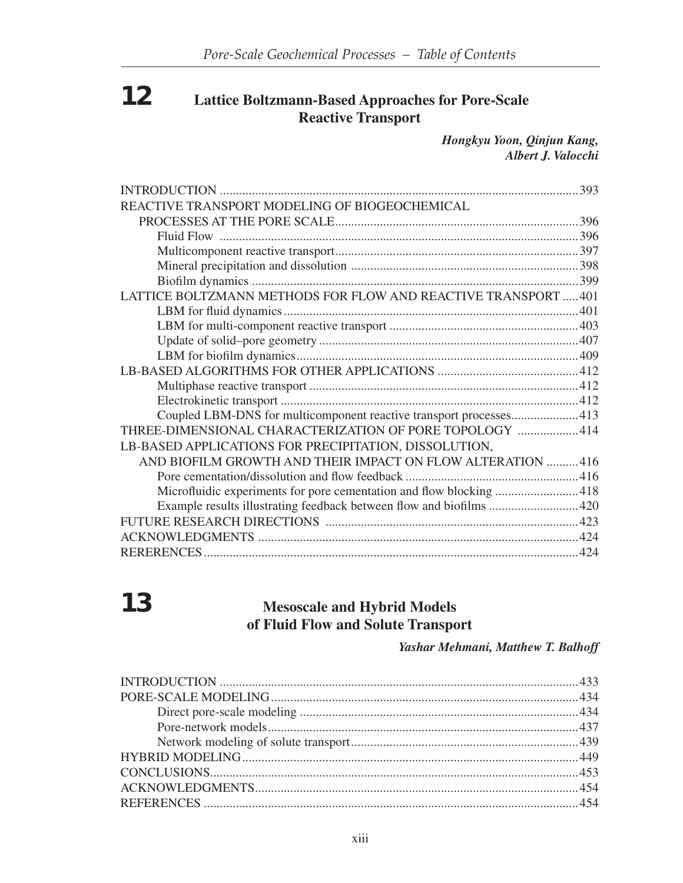# **12 Lattice Boltzmann-Based Approaches for Pore-Scale Reactive Transport**

*Hongkyu Yoon, Qinjun Kang, Albert J. Valocchi*

|                                                                     | 393 |
|---------------------------------------------------------------------|-----|
| REACTIVE TRANSPORT MODELING OF BIOGEOCHEMICAL                       |     |
|                                                                     |     |
|                                                                     |     |
|                                                                     |     |
|                                                                     |     |
|                                                                     |     |
| LATTICE BOLTZMANN METHODS FOR FLOW AND REACTIVE TRANSPORT  401      |     |
|                                                                     |     |
|                                                                     |     |
|                                                                     |     |
|                                                                     |     |
|                                                                     |     |
|                                                                     |     |
|                                                                     |     |
| Coupled LBM-DNS for multicomponent reactive transport processes 413 |     |
| THREE-DIMENSIONAL CHARACTERIZATION OF PORE TOPOLOGY  414            |     |
| LB-BASED APPLICATIONS FOR PRECIPITATION, DISSOLUTION,               |     |
| AND BIOFILM GROWTH AND THEIR IMPACT ON FLOW ALTERATION  416         |     |
|                                                                     |     |
| Microfluidic experiments for pore cementation and flow blocking 418 |     |
| Example results illustrating feedback between flow and biofilms 420 |     |
|                                                                     |     |
|                                                                     |     |
|                                                                     |     |

# **13 Mesoscale and Hybrid Models of Fluid Flow and Solute Transport**

#### *Yashar Mehmani, Matthew T. Balhoff*